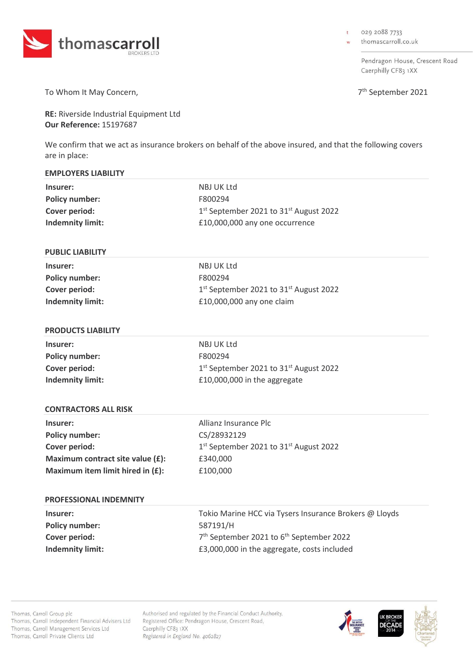

029 2088 7733  $\ddot{\phantom{1}}$ 

thomascarroll.co.uk

Pendragon House, Crescent Road Caerphilly CF83 1XX

7<sup>th</sup> September 2021

To Whom It May Concern,

**RE:** Riverside Industrial Equipment Ltd **Our Reference:** 15197687

We confirm that we act as insurance brokers on behalf of the above insured, and that the following covers are in place:

| <b>EMPLOYERS LIABILITY</b>       |                                                                  |
|----------------------------------|------------------------------------------------------------------|
| Insurer:                         | NBJ UK Ltd                                                       |
| <b>Policy number:</b>            | F800294                                                          |
| <b>Cover period:</b>             | 1 <sup>st</sup> September 2021 to 31 <sup>st</sup> August 2022   |
| <b>Indemnity limit:</b>          | £10,000,000 any one occurrence                                   |
|                                  |                                                                  |
| <b>PUBLIC LIABILITY</b>          |                                                                  |
| Insurer:                         | NBJ UK Ltd                                                       |
| <b>Policy number:</b>            | F800294                                                          |
| <b>Cover period:</b>             | 1 <sup>st</sup> September 2021 to 31 <sup>st</sup> August 2022   |
| <b>Indemnity limit:</b>          | £10,000,000 any one claim                                        |
|                                  |                                                                  |
| <b>PRODUCTS LIABILITY</b>        |                                                                  |
| Insurer:                         | NBJ UK Ltd                                                       |
| <b>Policy number:</b>            | F800294                                                          |
| <b>Cover period:</b>             | 1st September 2021 to 31st August 2022                           |
| <b>Indemnity limit:</b>          | £10,000,000 in the aggregate                                     |
|                                  |                                                                  |
| <b>CONTRACTORS ALL RISK</b>      |                                                                  |
| Insurer:                         | Allianz Insurance Plc                                            |
| <b>Policy number:</b>            | CS/28932129                                                      |
| <b>Cover period:</b>             | 1st September 2021 to 31st August 2022                           |
| Maximum contract site value (£): | £340,000                                                         |
| Maximum item limit hired in (£): | £100,000                                                         |
|                                  |                                                                  |
| PROFESSIONAL INDEMNITY           |                                                                  |
| Insurer:                         | Tokio Marine HCC via Tysers Insurance Brokers @ Lloyds           |
| <b>Policy number:</b>            | 587191/H                                                         |
| Cover period:                    | 7 <sup>th</sup> September 2021 to 6 <sup>th</sup> September 2022 |
| <b>Indemnity limit:</b>          | £3,000,000 in the aggregate, costs included                      |

Authorised and regulated by the Financial Conduct Authority. Registered Office: Pendragon House, Crescent Road, Caerphilly CF83 1XX Registered in England No. 4062827